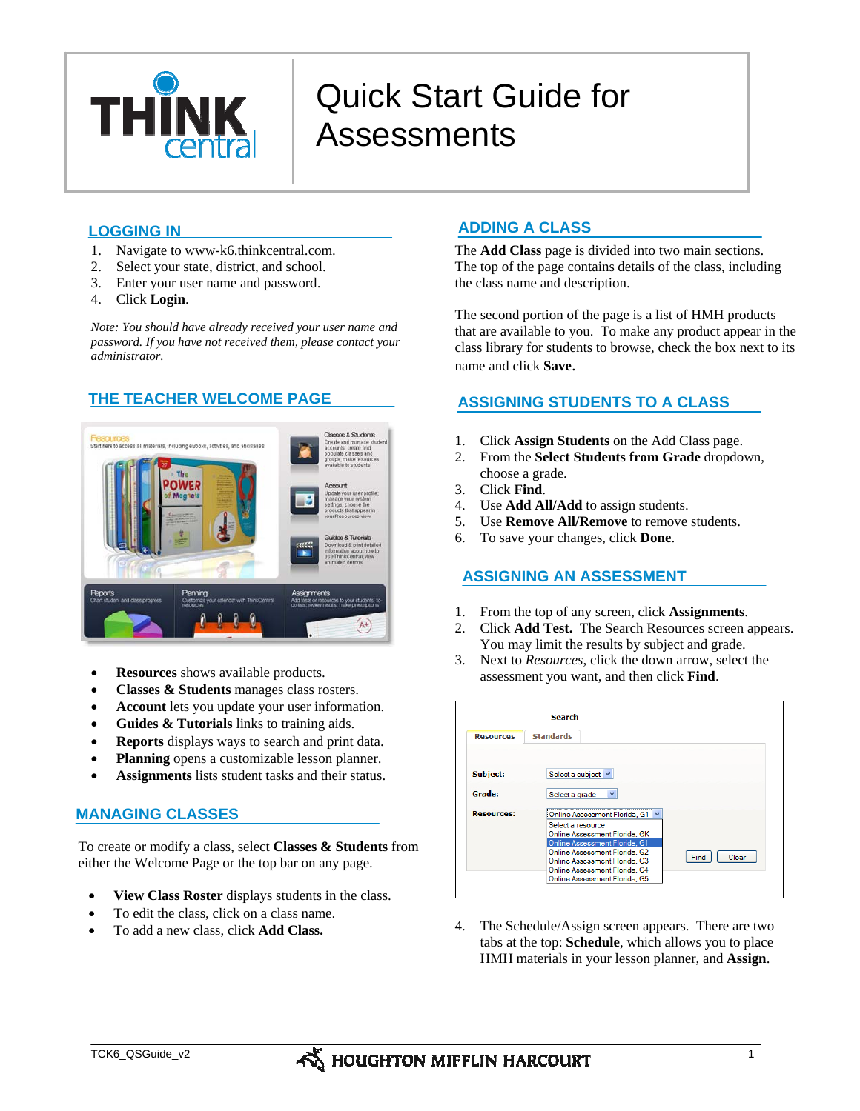

# Quick Start Guide for **Assessments**

# **LOGGING IN**

- 1. Navigate to www-k6.thinkcentral.com.
- 2. Select your state, district, and school.
- 3. Enter your user name and password.
- 4. Click **Login**.

*Note: You should have already received your user name and password. If you have not received them, please contact your administrator.* 

# **THE TEACHER WELCOME PAGE**



- **Resources** shows available products.
- **Classes & Students** manages class rosters.
- Account lets you update your user information.
- **Guides & Tutorials** links to training aids.
- **Reports** displays ways to search and print data.
- **Planning** opens a customizable lesson planner.
- **Assignments** lists student tasks and their status.

# **MANAGING CLASSES**

To create or modify a class, select **Classes & Students** from either the Welcome Page or the top bar on any page.

- **View Class Roster** displays students in the class.
- To edit the class, click on a class name.
- To add a new class, click **Add Class.**

# **ADDING A CLASS**

The **Add Class** page is divided into two main sections. The top of the page contains details of the class, including the class name and description.

The second portion of the page is a list of HMH products that are available to you. To make any product appear in the class library for students to browse, check the box next to its name and click **Save**.

# **ASSIGNING STUDENTS TO A CLASS**

- 1. Click **Assign Students** on the Add Class page.
- 2. From the **Select Students from Grade** dropdown, choose a grade.
- 3. Click **Find**.
- 4. Use **Add All/Add** to assign students.
- 5. Use **Remove All/Remove** to remove students.
- 6. To save your changes, click **Done**.

### **ASSIGNING AN ASSESSMENT**

- 1. From the top of any screen, click **Assignments**.
- 2. Click **Add Test.** The Search Resources screen appears. You may limit the results by subject and grade.
- 3. Next to *Resources*, click the down arrow, select the assessment you want, and then click **Find**.

|                   | <b>Search</b>                                                                                                                                                                                                                                |
|-------------------|----------------------------------------------------------------------------------------------------------------------------------------------------------------------------------------------------------------------------------------------|
| <b>Resources</b>  | <b>Standards</b>                                                                                                                                                                                                                             |
| Subject:          | Select a subject V                                                                                                                                                                                                                           |
| Grade:            | $\checkmark$<br>Select a grade                                                                                                                                                                                                               |
| <b>Resources:</b> | Online Assessment Florida, G1   V<br>Select a resource<br>Online Assessment Florida, GK<br>Online Assessment Florida, G1<br>Online Assessment Florida, G2<br>Find<br>Clear<br>Online Assessment Florida, G3<br>Online Assessment Florida, G4 |

4. The Schedule/Assign screen appears. There are two tabs at the top: **Schedule**, which allows you to place HMH materials in your lesson planner, and **Assign**.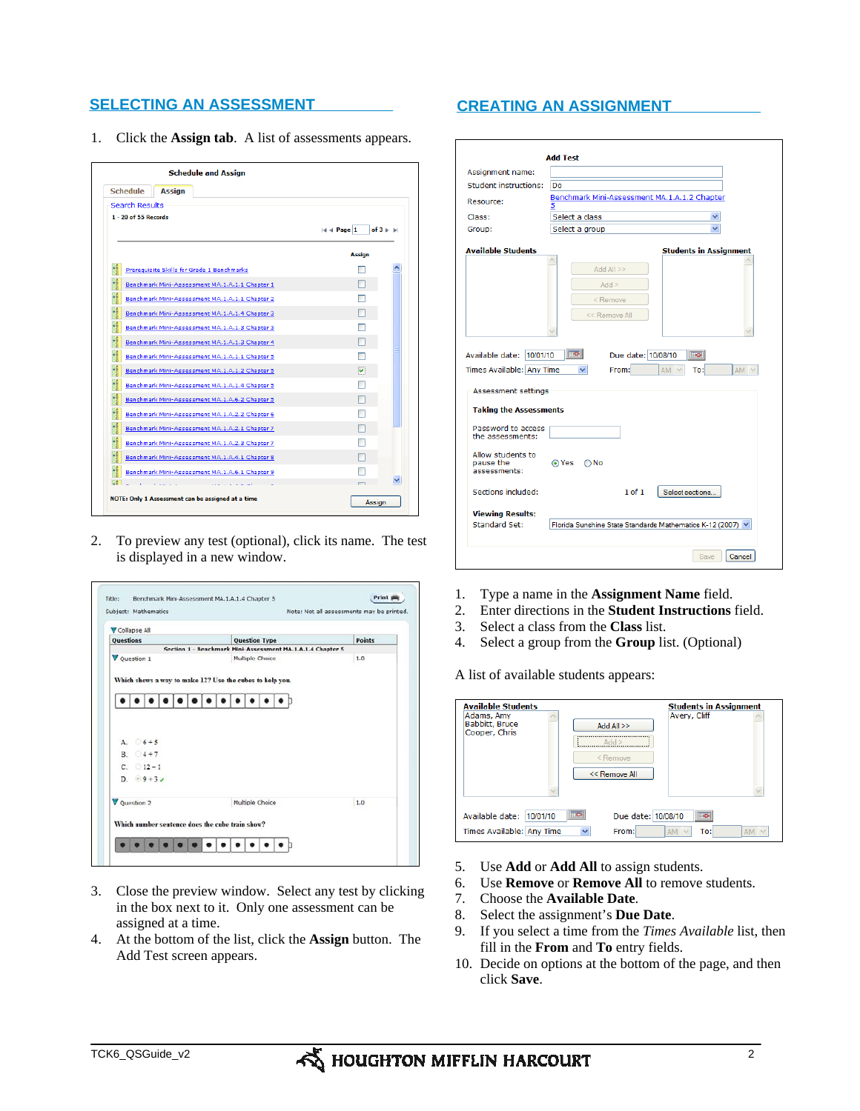# **SELECTING AN ASSESSMENT CREATING AN ASSIGNMENT**

1. Click the **Assign tab**. A list of assessments appears.

| <b>Search Results</b><br>$1 - 20$ of 55 Records |                                                      |
|-------------------------------------------------|------------------------------------------------------|
|                                                 | $ 44$ Page 1<br>$of 3 \triangleright \triangleright$ |
|                                                 | <b>Assign</b>                                        |
| Prerequisite Skills for Grade 1 Benchmarks      |                                                      |
| Benchmark Mini-Assessment MA.1.A.1.1 Chapter 1  |                                                      |
| Benchmark Mini-Assessment MA.1.A.1.1 Chapter 2  |                                                      |
| Benchmark Mini-Assessment MA.1.A.1.4 Chapter 3  |                                                      |
| Benchmark Mini-Assessment MA.1.A.1.3 Chapter 3  |                                                      |
| Benchmark Mini-Assessment MA.1.A.1.3 Chapter 4  |                                                      |
| Benchmark Mini-Assessment MA.1.A.1.1 Chapter 5  |                                                      |
| Benchmark Mini-Assessment MA.1.A.1.2 Chapter 5  | M                                                    |
| Benchmark Mini-Assessment MA.1.A.1.4 Chapter 5  |                                                      |
| Benchmark Mini-Assessment MA.1.A.6.2 Chapter 5  |                                                      |
| Benchmark Mini-Assessment MA.1.A.2.2 Chapter 6  |                                                      |
| Benchmark Mini-Assessment MA.1.A.2.1 Chapter 7  |                                                      |
| Benchmark Mini-Assessment MA.1.A.2.3 Chapter 7  |                                                      |
| Benchmark Mini-Assessment MA.1.A.4.1 Chapter 8  |                                                      |
| Benchmark Mini-Assessment MA.1.A.6.1 Chapter 9  |                                                      |

2. To preview any test (optional), click its name. The test is displayed in a new window.

| <b>Points</b><br>Questions<br><b>Question Type</b><br>Section 1 - Benchmark Mini-Assessment MA.1.A.1.4 Chapter 5<br><b>V</b> Ouestion 1<br>Multiple Choice<br>1.0<br>Which shows a way to make 12? Use the cubes to help you. |  |
|-------------------------------------------------------------------------------------------------------------------------------------------------------------------------------------------------------------------------------|--|
|                                                                                                                                                                                                                               |  |
|                                                                                                                                                                                                                               |  |
|                                                                                                                                                                                                                               |  |
| A $6+5$<br>$B. 04 + 7$<br>$C. 12-1$<br>D. $\div$ 9 + 3 $\angle$                                                                                                                                                               |  |
| V Question 2<br>Multiple Choice<br>1.0                                                                                                                                                                                        |  |

- 3. Close the preview window. Select any test by clicking in the box next to it. Only one assessment can be assigned at a time.
- 4. At the bottom of the list, click the **Assign** button. The Add Test screen appears.

| Assignment name:                                        |                                              |                                |
|---------------------------------------------------------|----------------------------------------------|--------------------------------|
| <b>Student instructions:</b>                            | Do                                           |                                |
| Resource:                                               | Benchmark Mini-Assessment MA.1.A.1.2 Chapter |                                |
| Class:                                                  | Select a class                               |                                |
| Group:                                                  | Select a group                               |                                |
| <b>Available Students</b>                               |                                              | <b>Students in Assignment</b>  |
|                                                         |                                              |                                |
|                                                         | Add All >>                                   |                                |
|                                                         | Add >                                        |                                |
|                                                         | <remove< td=""><td></td></remove<>           |                                |
|                                                         |                                              |                                |
|                                                         | << Remove All                                |                                |
| Available date: 10/01/10                                | <b>Toll</b><br>Due date: 10/08/10            | ℡                              |
| Times Available: Any Time<br><b>Assessment settings</b> | From:<br>v                                   | To:l<br>$AM \vee$<br>$AM \vee$ |
| <b>Taking the Assessments</b>                           |                                              |                                |
| Password to access<br>the assessments:                  |                                              |                                |
| Allow students to<br>pause the<br>assessments:          | ⊙ Yes<br>) No                                |                                |
| Sections included:                                      | $1$ of $1$                                   | Select sections                |
| <b>Viewing Results:</b>                                 |                                              |                                |

- 1. Type a name in the **Assignment Name** field.
- 2. Enter directions in the **Student Instructions** field.
- 3. Select a class from the **Class** list.
- 4. Select a group from the **Group** list. (Optional)

A list of available students appears:

| <b>Available Students</b>    |              |                    | <b>Students in Assignment</b> |     |
|------------------------------|--------------|--------------------|-------------------------------|-----|
| Adams, Amy<br>Babbitt, Bruce |              | Add All $>>$       | Avery, Cliff                  |     |
| Cooper, Chris                |              |                    |                               |     |
|                              |              | $<$ Remove         |                               |     |
|                              |              | << Remove All      |                               |     |
|                              |              |                    |                               |     |
| Available date:<br>10/01/10  |              | Due date: 10/08/10 |                               |     |
|                              |              |                    |                               | AM  |
| Times Available: Any Time    | $\checkmark$ | From:              | <b>AM</b>                     | To: |

- 5. Use **Add** or **Add All** to assign students.
- 6. Use **Remove** or **Remove All** to remove students.
- 7. Choose the **Available Date**.
- 8. Select the assignment's **Due Date**.
- 9. If you select a time from the *Times Available* list, then fill in the **From** and **To** entry fields.
- 10. Decide on options at the bottom of the page, and then click **Save**.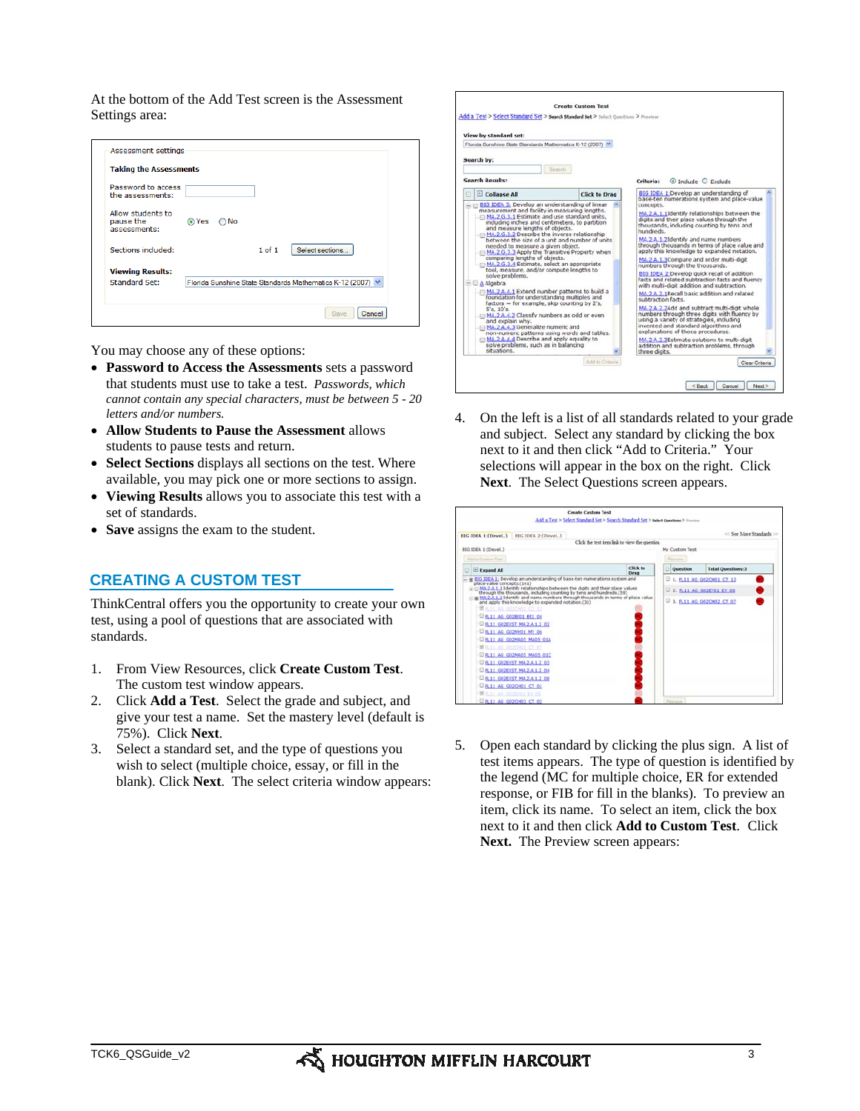At the bottom of the Add Test screen is the Assessment Settings area:

| <b>Taking the Assessments</b>                  |       |               |        |                                                            |
|------------------------------------------------|-------|---------------|--------|------------------------------------------------------------|
| Password to access<br>the assessments:         |       |               |        |                                                            |
| Allow students to<br>pause the<br>assessments: | ⊙ Yes | $\bigcirc$ No |        |                                                            |
| Sections included:                             |       |               | 1 of 1 | Select sections                                            |
| <b>Viewing Results:</b>                        |       |               |        |                                                            |
| <b>Standard Set:</b>                           |       |               |        | Florida Sunshine State Standards Mathematics K-12 (2007) V |

You may choose any of these options:

- **Password to Access the Assessments** sets a password that students must use to take a test. *Passwords, which cannot contain any special characters, must be between 5 - 20 letters and/or numbers.*
- **Allow Students to Pause the Assessment** allows students to pause tests and return.
- **Select Sections** displays all sections on the test. Where available, you may pick one or more sections to assign.
- **Viewing Results** allows you to associate this test with a set of standards.
- **Save** assigns the exam to the student.

### **CREATING A CUSTOM TEST**

ThinkCentral offers you the opportunity to create your own test, using a pool of questions that are associated with standards.

- 1. From View Resources, click **Create Custom Test**. The custom test window appears.
- 2. Click **Add a Test**. Select the grade and subject, and give your test a name. Set the mastery level (default is 75%). Click **Next**.
- 3. Select a standard set, and the type of questions you wish to select (multiple choice, essay, or fill in the blank). Click **Next**. The select criteria window appears:



4. On the left is a list of all standards related to your grade and subject. Select any standard by clicking the box next to it and then click "Add to Criteria." Your selections will appear in the box on the right. Click **Next**. The Select Questions screen appears.

|                                                                                                                                                                                                                                                                                                                                                                                                                                                                                                                                                                                                                                                                                                                                       | <b>Create Custom Test</b><br>Add a Test > Select Standard Set > Search Standard Set > salest Questions > Freeiner |
|---------------------------------------------------------------------------------------------------------------------------------------------------------------------------------------------------------------------------------------------------------------------------------------------------------------------------------------------------------------------------------------------------------------------------------------------------------------------------------------------------------------------------------------------------------------------------------------------------------------------------------------------------------------------------------------------------------------------------------------|-------------------------------------------------------------------------------------------------------------------|
| BIG IDEA 1:(Devel) BIG IDEA 2:(Devel)                                                                                                                                                                                                                                                                                                                                                                                                                                                                                                                                                                                                                                                                                                 | << See More Standards >>                                                                                          |
|                                                                                                                                                                                                                                                                                                                                                                                                                                                                                                                                                                                                                                                                                                                                       | Click the test item link to view the question.                                                                    |
| 81G IDEA 1:(Devel.)                                                                                                                                                                                                                                                                                                                                                                                                                                                                                                                                                                                                                                                                                                                   | My Custom Test                                                                                                    |
| Add to Custom Text.                                                                                                                                                                                                                                                                                                                                                                                                                                                                                                                                                                                                                                                                                                                   | <b>Time</b> turned                                                                                                |
| E Expand All                                                                                                                                                                                                                                                                                                                                                                                                                                                                                                                                                                                                                                                                                                                          | Click to<br><b>Total Questions:3</b><br><b>Ouestion</b><br>Drag                                                   |
| place-value concepts.(141)<br>C SML2.A.1.1 Identify relationships between the digits and their place values.<br>through the thousands, including counting by tens and hundreds.(59)<br>IN MA.2.A.1.2 Identify and name numbers through thousands in terms of place value<br>and apply this knowledge to expanded notation.(31)<br>第月11 AG GOICHOL-CT 13<br><b>DR11 AG G02BI01 BI1 04</b><br><b>PR.11 GOZEXST MA.2.4.1.2 02</b><br>E FL11 AG GOZMYD1 MY 06<br><b>ER.11 AG GOZMADS MADS 01A</b><br>Mitch ar depress of an<br>ERLIL AG GO2MAOS MAOS OIC<br><b>DR11 GOZEXST MA.2.A.1.2 03</b><br><b>ER11 GOZEXST MA2-A.1.2 04</b><br><b>ER11 GOZEXST MA.2.A.1.2 08</b><br><b>PR.11 AG G02CH01 CT 01</b><br><b>BULLE AG GUISTOL KY. OA</b> | <b>E 1, FL11 AG G02CH01 CT 13</b><br>2. FL11 AG GOZEYO1 EY 06<br>□ 3. ЕL11 АG G02CH02 СТ 07                       |
| <b>E FL11 AG G02CH03 CT 02</b>                                                                                                                                                                                                                                                                                                                                                                                                                                                                                                                                                                                                                                                                                                        | Tijenove                                                                                                          |

5. Open each standard by clicking the plus sign. A list of test items appears. The type of question is identified by the legend (MC for multiple choice, ER for extended response, or FIB for fill in the blanks). To preview an item, click its name. To select an item, click the box next to it and then click **Add to Custom Test**.Click Next. The Preview screen appears: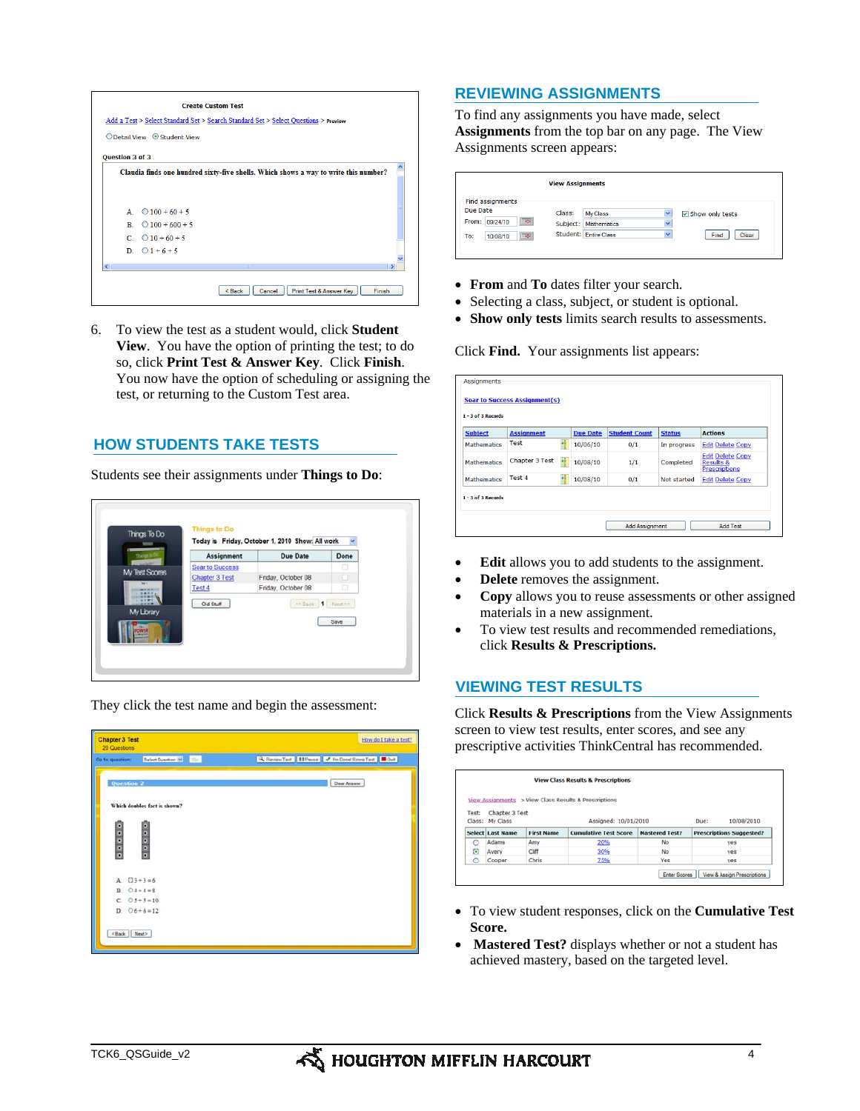

6. To view the test as a student would, click **Student View**. You have the option of printing the test; to do so, click **Print Test & Answer Key**. Click **Finish**. You now have the option of scheduling or assigning the test, or returning to the Custom Test area.

# **HOW STUDENTS TAKE TESTS**

Students see their assignments under **Things to Do**:

| Assignment             | <b>Due Date</b>    | Done |
|------------------------|--------------------|------|
| <b>Soar to Success</b> |                    | o    |
| <b>Chapter 3 Test</b>  | Friday, October 08 |      |
| Test 4                 | Friday, October 08 | o    |
|                        |                    | Save |





### **REVIEWING ASSIGNMENTS**

To find any assignments you have made, select **Assignments** from the top bar on any page. The View Assignments screen appears:

|                                               | <b>View Assignments</b> |                       |                         |                 |
|-----------------------------------------------|-------------------------|-----------------------|-------------------------|-----------------|
| Find assignments                              |                         |                       |                         |                 |
| Due Date                                      | Class:                  | My Class              | $\checkmark$            | Show only tests |
| $\overline{\phantom{a}}$<br>From:<br>09/24/10 | Subject:                | <b>Mathematics</b>    | $\overline{\mathbf{v}}$ |                 |
| $\overline{\bullet}$<br>To:<br>10/08/10       |                         | Student: Entire Class | $\checkmark$            | Clear<br>Find   |

- **From** and **To** dates filter your search.
- Selecting a class, subject, or student is optional.
- **Show only tests** limits search results to assessments.

Click **Find.** Your assignments list appears:

| <b>Subject</b>     | <b>Assignment</b>   | <b>Due Date</b> | <b>Student Count</b> | <b>Status</b> | <b>Actions</b>                                                          |
|--------------------|---------------------|-----------------|----------------------|---------------|-------------------------------------------------------------------------|
| <b>Mathematics</b> | <b>Test</b>         | 10/06/10        | 0/1                  | In progress   | <b>Edit Delete Copy</b>                                                 |
| <b>Mathematics</b> | 赣<br>Chapter 3 Test | 10/08/10        | 1/1                  | Completed     | <b>Edit Delete Copy</b><br><b>Results &amp;</b><br><b>Prescriptions</b> |
| <b>Mathematics</b> | Test 4              | 10/08/10        | 0/1                  | Not started   | <b>Edit Delete Copy</b>                                                 |

- Edit allows you to add students to the assignment.
- **Delete** removes the assignment.
- **Copy** allows you to reuse assessments or other assigned materials in a new assignment.
- To view test results and recommended remediations, click **Results & Prescriptions.**

# **VIEWING TEST RESULTS**

Click **Results & Prescriptions** from the View Assignments screen to view test results, enter scores, and see any prescriptive activities ThinkCentral has recommended.

|       |                                   |                   | View Assignments > View Class Results & Prescriptions |                       |                                 |
|-------|-----------------------------------|-------------------|-------------------------------------------------------|-----------------------|---------------------------------|
| Test: | Chapter 3 Test<br>Class: My Class |                   | Assigned: 10/01/2010                                  |                       | 10/08/2010<br>Due:              |
|       | <b>Select Last Name</b>           | <b>First Name</b> | <b>Cumulative Test Score</b>                          | <b>Mastered Test?</b> | <b>Prescriptions Suggested?</b> |
| O     | Adams                             | Amy               | 20%                                                   | No                    | ves                             |
|       |                                   |                   |                                                       | <b>No</b>             | ves                             |
| O     | Avery                             | Cliff             | 30%                                                   |                       |                                 |

- To view student responses, click on the **Cumulative Test Score.**
- **Mastered Test?** displays whether or not a student has achieved mastery, based on the targeted level.